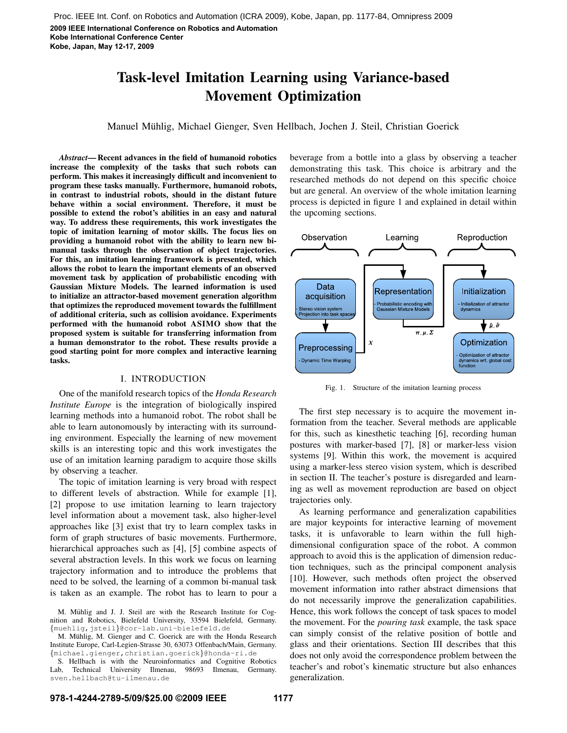**Kobe, Japan, May 12-17, 2009**

# Task-level Imitation Learning using Variance-based Movement Optimization

Manuel Mühlig, Michael Gienger, Sven Hellbach, Jochen J. Steil, Christian Goerick

*Abstract*— Recent advances in the field of humanoid robotics increase the complexity of the tasks that such robots can perform. This makes it increasingly difficult and inconvenient to program these tasks manually. Furthermore, humanoid robots, in contrast to industrial robots, should in the distant future behave within a social environment. Therefore, it must be possible to extend the robot's abilities in an easy and natural way. To address these requirements, this work investigates the topic of imitation learning of motor skills. The focus lies on providing a humanoid robot with the ability to learn new bimanual tasks through the observation of object trajectories. For this, an imitation learning framework is presented, which allows the robot to learn the important elements of an observed movement task by application of probabilistic encoding with Gaussian Mixture Models. The learned information is used to initialize an attractor-based movement generation algorithm that optimizes the reproduced movement towards the fulfillment of additional criteria, such as collision avoidance. Experiments performed with the humanoid robot ASIMO show that the proposed system is suitable for transferring information from a human demonstrator to the robot. These results provide a good starting point for more complex and interactive learning tasks.

#### I. INTRODUCTION

One of the manifold research topics of the *Honda Research Institute Europe* is the integration of biologically inspired learning methods into a humanoid robot. The robot shall be able to learn autonomously by interacting with its surrounding environment. Especially the learning of new movement skills is an interesting topic and this work investigates the use of an imitation learning paradigm to acquire those skills by observing a teacher.

The topic of imitation learning is very broad with respect to different levels of abstraction. While for example [1], [2] propose to use imitation learning to learn trajectory level information about a movement task, also higher-level approaches like [3] exist that try to learn complex tasks in form of graph structures of basic movements. Furthermore, hierarchical approaches such as [4], [5] combine aspects of several abstraction levels. In this work we focus on learning trajectory information and to introduce the problems that need to be solved, the learning of a common bi-manual task is taken as an example. The robot has to learn to pour a

M. Mühlig, M. Gienger and C. Goerick are with the Honda Research Institute Europe, Carl-Legien-Strasse 30, 63073 Offenbach/Main, Germany. {michael.gienger,christian.goerick}@honda-ri.de

S. Hellbach is with the Neuroinformatics and Cognitive Robotics Lab, Technical University Ilmenau, 98693 Ilmenau, Germany. sven.hellbach@tu-ilmenau.de

beverage from a bottle into a glass by observing a teacher demonstrating this task. This choice is arbitrary and the researched methods do not depend on this specific choice but are general. An overview of the whole imitation learning process is depicted in figure 1 and explained in detail within the upcoming sections.



Fig. 1. Structure of the imitation learning process

The first step necessary is to acquire the movement information from the teacher. Several methods are applicable for this, such as kinesthetic teaching [6], recording human postures with marker-based [7], [8] or marker-less vision systems [9]. Within this work, the movement is acquired using a marker-less stereo vision system, which is described in section II. The teacher's posture is disregarded and learning as well as movement reproduction are based on object trajectories only.

As learning performance and generalization capabilities are major keypoints for interactive learning of movement tasks, it is unfavorable to learn within the full highdimensional configuration space of the robot. A common approach to avoid this is the application of dimension reduction techniques, such as the principal component analysis [10]. However, such methods often project the observed movement information into rather abstract dimensions that do not necessarily improve the generalization capabilities. Hence, this work follows the concept of task spaces to model the movement. For the *pouring task* example, the task space can simply consist of the relative position of bottle and glass and their orientations. Section III describes that this does not only avoid the correspondence problem between the teacher's and robot's kinematic structure but also enhances generalization.

M. Mühlig and J. J. Steil are with the Research Institute for Cognition and Robotics, Bielefeld University, 33594 Bielefeld, Germany. {muehlig,jsteil}@cor-lab.uni-bielefeld.de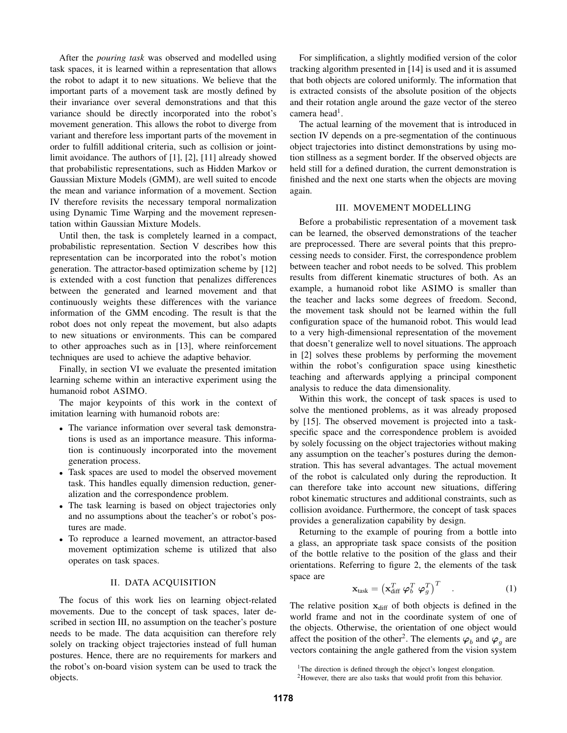After the *pouring task* was observed and modelled using task spaces, it is learned within a representation that allows the robot to adapt it to new situations. We believe that the important parts of a movement task are mostly defined by their invariance over several demonstrations and that this variance should be directly incorporated into the robot's movement generation. This allows the robot to diverge from variant and therefore less important parts of the movement in order to fulfill additional criteria, such as collision or jointlimit avoidance. The authors of [1], [2], [11] already showed that probabilistic representations, such as Hidden Markov or Gaussian Mixture Models (GMM), are well suited to encode the mean and variance information of a movement. Section IV therefore revisits the necessary temporal normalization using Dynamic Time Warping and the movement representation within Gaussian Mixture Models.

Until then, the task is completely learned in a compact, probabilistic representation. Section V describes how this representation can be incorporated into the robot's motion generation. The attractor-based optimization scheme by [12] is extended with a cost function that penalizes differences between the generated and learned movement and that continuously weights these differences with the variance information of the GMM encoding. The result is that the robot does not only repeat the movement, but also adapts to new situations or environments. This can be compared to other approaches such as in [13], where reinforcement techniques are used to achieve the adaptive behavior.

Finally, in section VI we evaluate the presented imitation learning scheme within an interactive experiment using the humanoid robot ASIMO.

The major keypoints of this work in the context of imitation learning with humanoid robots are:

- The variance information over several task demonstrations is used as an importance measure. This information is continuously incorporated into the movement generation process.
- Task spaces are used to model the observed movement task. This handles equally dimension reduction, generalization and the correspondence problem.
- The task learning is based on object trajectories only and no assumptions about the teacher's or robot's postures are made.
- To reproduce a learned movement, an attractor-based movement optimization scheme is utilized that also operates on task spaces.

## II. DATA ACQUISITION

The focus of this work lies on learning object-related movements. Due to the concept of task spaces, later described in section III, no assumption on the teacher's posture needs to be made. The data acquisition can therefore rely solely on tracking object trajectories instead of full human postures. Hence, there are no requirements for markers and the robot's on-board vision system can be used to track the objects.

For simplification, a slightly modified version of the color tracking algorithm presented in [14] is used and it is assumed that both objects are colored uniformly. The information that is extracted consists of the absolute position of the objects and their rotation angle around the gaze vector of the stereo camera head<sup>1</sup>.

The actual learning of the movement that is introduced in section IV depends on a pre-segmentation of the continuous object trajectories into distinct demonstrations by using motion stillness as a segment border. If the observed objects are held still for a defined duration, the current demonstration is finished and the next one starts when the objects are moving again.

## III. MOVEMENT MODELLING

Before a probabilistic representation of a movement task can be learned, the observed demonstrations of the teacher are preprocessed. There are several points that this preprocessing needs to consider. First, the correspondence problem between teacher and robot needs to be solved. This problem results from different kinematic structures of both. As an example, a humanoid robot like ASIMO is smaller than the teacher and lacks some degrees of freedom. Second, the movement task should not be learned within the full configuration space of the humanoid robot. This would lead to a very high-dimensional representation of the movement that doesn't generalize well to novel situations. The approach in [2] solves these problems by performing the movement within the robot's configuration space using kinesthetic teaching and afterwards applying a principal component analysis to reduce the data dimensionality.

Within this work, the concept of task spaces is used to solve the mentioned problems, as it was already proposed by [15]. The observed movement is projected into a taskspecific space and the correspondence problem is avoided by solely focussing on the object trajectories without making any assumption on the teacher's postures during the demonstration. This has several advantages. The actual movement of the robot is calculated only during the reproduction. It can therefore take into account new situations, differing robot kinematic structures and additional constraints, such as collision avoidance. Furthermore, the concept of task spaces provides a generalization capability by design.

Returning to the example of pouring from a bottle into a glass, an appropriate task space consists of the position of the bottle relative to the position of the glass and their orientations. Referring to figure 2, the elements of the task space are

$$
\mathbf{x}_{\text{task}} = \left(\mathbf{x}_{\text{diff}}^T \ \boldsymbol{\varphi}_{b}^T \ \boldsymbol{\varphi}_{g}^T\right)^T \quad . \tag{1}
$$

The relative position  $x_{diff}$  of both objects is defined in the world frame and not in the coordinate system of one of the objects. Otherwise, the orientation of one object would affect the position of the other<sup>2</sup>. The elements  $\varphi_b$  and  $\varphi_g$  are vectors containing the angle gathered from the vision system

<sup>&</sup>lt;sup>1</sup>The direction is defined through the object's longest elongation.

<sup>2</sup>However, there are also tasks that would profit from this behavior.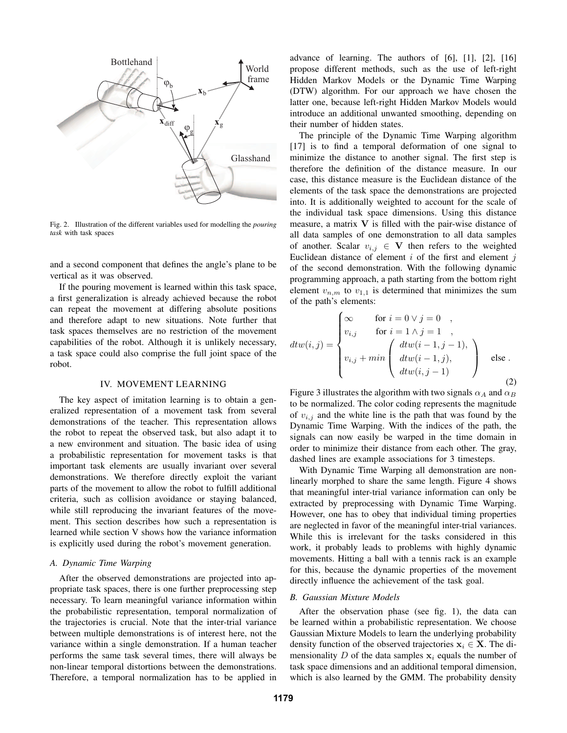

Fig. 2. Illustration of the different variables used for modelling the *pouring task* with task spaces

and a second component that defines the angle's plane to be vertical as it was observed.

If the pouring movement is learned within this task space, a first generalization is already achieved because the robot can repeat the movement at differing absolute positions and therefore adapt to new situations. Note further that task spaces themselves are no restriction of the movement capabilities of the robot. Although it is unlikely necessary, a task space could also comprise the full joint space of the robot.

## IV. MOVEMENT LEARNING

The key aspect of imitation learning is to obtain a generalized representation of a movement task from several demonstrations of the teacher. This representation allows the robot to repeat the observed task, but also adapt it to a new environment and situation. The basic idea of using a probabilistic representation for movement tasks is that important task elements are usually invariant over several demonstrations. We therefore directly exploit the variant parts of the movement to allow the robot to fulfill additional criteria, such as collision avoidance or staying balanced, while still reproducing the invariant features of the movement. This section describes how such a representation is learned while section V shows how the variance information is explicitly used during the robot's movement generation.

## *A. Dynamic Time Warping*

After the observed demonstrations are projected into appropriate task spaces, there is one further preprocessing step necessary. To learn meaningful variance information within the probabilistic representation, temporal normalization of the trajectories is crucial. Note that the inter-trial variance between multiple demonstrations is of interest here, not the variance within a single demonstration. If a human teacher performs the same task several times, there will always be non-linear temporal distortions between the demonstrations. Therefore, a temporal normalization has to be applied in

advance of learning. The authors of [6], [1], [2], [16] propose different methods, such as the use of left-right Hidden Markov Models or the Dynamic Time Warping (DTW) algorithm. For our approach we have chosen the latter one, because left-right Hidden Markov Models would introduce an additional unwanted smoothing, depending on their number of hidden states.

The principle of the Dynamic Time Warping algorithm [17] is to find a temporal deformation of one signal to minimize the distance to another signal. The first step is therefore the definition of the distance measure. In our case, this distance measure is the Euclidean distance of the elements of the task space the demonstrations are projected into. It is additionally weighted to account for the scale of the individual task space dimensions. Using this distance measure, a matrix  $V$  is filled with the pair-wise distance of all data samples of one demonstration to all data samples of another. Scalar  $v_{i,j} \in V$  then refers to the weighted Euclidean distance of element  $i$  of the first and element  $j$ of the second demonstration. With the following dynamic programming approach, a path starting from the bottom right element  $v_{n,m}$  to  $v_{1,1}$  is determined that minimizes the sum of the path's elements:

$$
dt w(i,j) = \begin{cases} \infty & \text{for } i = 0 \vee j = 0 ,\\ v_{i,j} & \text{for } i = 1 \wedge j = 1 ,\\ v_{i,j} + min \begin{pmatrix} dt w(i-1,j-1),\\ dt w(i-1,j),\\ dt w(i,j-1) \end{pmatrix} & \text{else}. \end{cases}
$$

Figure 3 illustrates the algorithm with two signals  $\alpha_A$  and  $\alpha_B$ to be normalized. The color coding represents the magnitude of  $v_{i,j}$  and the white line is the path that was found by the Dynamic Time Warping. With the indices of the path, the signals can now easily be warped in the time domain in order to minimize their distance from each other. The gray, dashed lines are example associations for 3 timesteps.

With Dynamic Time Warping all demonstration are nonlinearly morphed to share the same length. Figure 4 shows that meaningful inter-trial variance information can only be extracted by preprocessing with Dynamic Time Warping. However, one has to obey that individual timing properties are neglected in favor of the meaningful inter-trial variances. While this is irrelevant for the tasks considered in this work, it probably leads to problems with highly dynamic movements. Hitting a ball with a tennis rack is an example for this, because the dynamic properties of the movement directly influence the achievement of the task goal.

#### *B. Gaussian Mixture Models*

After the observation phase (see fig. 1), the data can be learned within a probabilistic representation. We choose Gaussian Mixture Models to learn the underlying probability density function of the observed trajectories  $x_i \in X$ . The dimensionality  $D$  of the data samples  $x_i$  equals the number of task space dimensions and an additional temporal dimension, which is also learned by the GMM. The probability density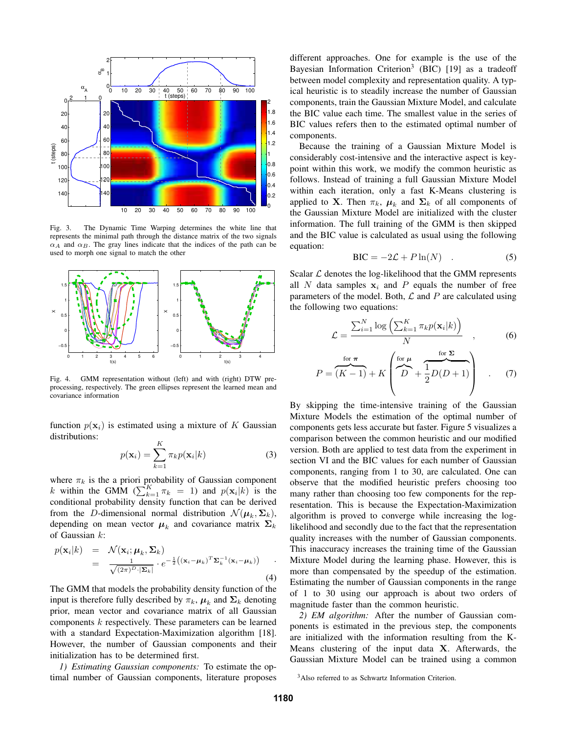

Fig. 3. The Dynamic Time Warping determines the white line that represents the minimal path through the distance matrix of the two signals  $\alpha_A$  and  $\alpha_B$ . The gray lines indicate that the indices of the path can be used to morph one signal to match the other



Fig. 4. GMM representation without (left) and with (right) DTW preprocessing, respectively. The green ellipses represent the learned mean and covariance information

function  $p(\mathbf{x}_i)$  is estimated using a mixture of K Gaussian distributions:

$$
p(\mathbf{x}_i) = \sum_{k=1}^{K} \pi_k p(\mathbf{x}_i|k)
$$
 (3)

where  $\pi_k$  is the a priori probability of Gaussian component k within the GMM  $\left(\sum_{k=1}^{K} \pi_k = 1\right)$  and  $p(\mathbf{x}_i|k)$  is the conditional probability density function that can be derived from the *D*-dimensional normal distribution  $\mathcal{N}(\boldsymbol{\mu}_k, \boldsymbol{\Sigma}_k)$ , depending on mean vector  $\mu_k$  and covariance matrix  $\Sigma_k$ of Gaussian k:

$$
p(\mathbf{x}_i|k) = \mathcal{N}(\mathbf{x}_i; \boldsymbol{\mu}_k, \boldsymbol{\Sigma}_k)
$$
  
= 
$$
\frac{1}{\sqrt{(2\pi)^{D} \cdot |\boldsymbol{\Sigma}_k|}} \cdot e^{-\frac{1}{2}((\mathbf{x}_i - \boldsymbol{\mu}_k)^T \boldsymbol{\Sigma}_k^{-1} (\mathbf{x}_i - \boldsymbol{\mu}_k))}
$$
 (4)

The GMM that models the probability density function of the input is therefore fully described by  $\pi_k$ ,  $\mu_k$  and  $\Sigma_k$  denoting prior, mean vector and covariance matrix of all Gaussian components k respectively. These parameters can be learned with a standard Expectation-Maximization algorithm [18]. However, the number of Gaussian components and their initialization has to be determined first.

*1) Estimating Gaussian components:* To estimate the optimal number of Gaussian components, literature proposes different approaches. One for example is the use of the Bayesian Information Criterion<sup>3</sup> (BIC) [19] as a tradeoff between model complexity and representation quality. A typical heuristic is to steadily increase the number of Gaussian components, train the Gaussian Mixture Model, and calculate the BIC value each time. The smallest value in the series of BIC values refers then to the estimated optimal number of components.

Because the training of a Gaussian Mixture Model is considerably cost-intensive and the interactive aspect is keypoint within this work, we modify the common heuristic as follows. Instead of training a full Gaussian Mixture Model within each iteration, only a fast K-Means clustering is applied to **X**. Then  $\pi_k$ ,  $\mu_k$  and  $\Sigma_k$  of all components of the Gaussian Mixture Model are initialized with the cluster information. The full training of the GMM is then skipped and the BIC value is calculated as usual using the following equation:

$$
BIC = -2\mathcal{L} + P \ln(N) \quad . \tag{5}
$$

Scalar  $\mathcal L$  denotes the log-likelihood that the GMM represents all N data samples  $x_i$  and P equals the number of free parameters of the model. Both,  $\mathcal L$  and  $P$  are calculated using the following two equations:

$$
\mathcal{L} = \frac{\sum_{i=1}^{N} \log \left( \sum_{k=1}^{K} \pi_k p(\mathbf{x}_i | k) \right)}{N} , \qquad (6)
$$

$$
P = \overbrace{(K-1)}^{\text{for } \pi} + K \left( \overbrace{D}^{\text{for } \mu} + \overbrace{1 \overline{D}}^{\text{for } \Sigma} D(D+1) \right) \quad . \tag{7}
$$

By skipping the time-intensive training of the Gaussian Mixture Models the estimation of the optimal number of components gets less accurate but faster. Figure 5 visualizes a comparison between the common heuristic and our modified version. Both are applied to test data from the experiment in section VI and the BIC values for each number of Gaussian components, ranging from 1 to 30, are calculated. One can observe that the modified heuristic prefers choosing too many rather than choosing too few components for the representation. This is because the Expectation-Maximization algorithm is proved to converge while increasing the loglikelihood and secondly due to the fact that the representation quality increases with the number of Gaussian components. This inaccuracy increases the training time of the Gaussian Mixture Model during the learning phase. However, this is more than compensated by the speedup of the estimation. Estimating the number of Gaussian components in the range of 1 to 30 using our approach is about two orders of magnitude faster than the common heuristic.

*2) EM algorithm:* After the number of Gaussian components is estimated in the previous step, the components are initialized with the information resulting from the K-Means clustering of the input data X. Afterwards, the Gaussian Mixture Model can be trained using a common

<sup>3</sup>Also referred to as Schwartz Information Criterion.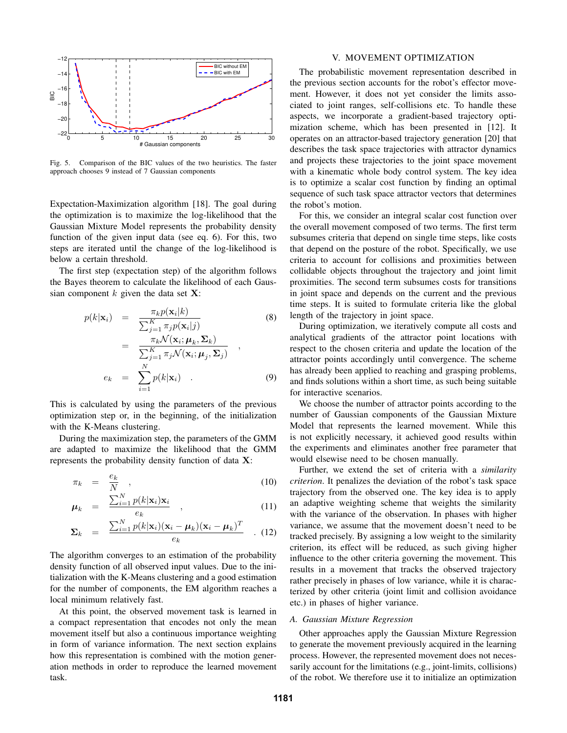

Fig. 5. Comparison of the BIC values of the two heuristics. The faster approach chooses 9 instead of 7 Gaussian components

Expectation-Maximization algorithm [18]. The goal during the optimization is to maximize the log-likelihood that the Gaussian Mixture Model represents the probability density function of the given input data (see eq. 6). For this, two steps are iterated until the change of the log-likelihood is below a certain threshold.

The first step (expectation step) of the algorithm follows the Bayes theorem to calculate the likelihood of each Gaussian component  $k$  given the data set  $X$ :

$$
p(k|\mathbf{x}_i) = \frac{\pi_k p(\mathbf{x}_i|k)}{\sum_{j=1}^K \pi_j p(\mathbf{x}_i|j)} \qquad (8)
$$
  

$$
= \frac{\pi_k \mathcal{N}(\mathbf{x}_i; \boldsymbol{\mu}_k, \boldsymbol{\Sigma}_k)}{\sum_{j=1}^K \pi_j \mathcal{N}(\mathbf{x}_i; \boldsymbol{\mu}_j, \boldsymbol{\Sigma}_j)} ,
$$
  

$$
e_k = \sum_{i=1}^N p(k|\mathbf{x}_i) .
$$
 (9)

This is calculated by using the parameters of the previous optimization step or, in the beginning, of the initialization with the K-Means clustering.

During the maximization step, the parameters of the GMM are adapted to maximize the likelihood that the GMM represents the probability density function of data X:

$$
\pi_k = \frac{e_k}{N},\tag{10}
$$

$$
\mu_k = \frac{\sum_{i=1}^N p(k|\mathbf{x}_i)\mathbf{x}_i}{e_k} \quad , \tag{11}
$$

$$
\Sigma_k = \frac{\sum_{i=1}^N p(k|\mathbf{x}_i)(\mathbf{x}_i - \boldsymbol{\mu}_k)(\mathbf{x}_i - \boldsymbol{\mu}_k)^T}{e_k} \quad . \tag{12}
$$

The algorithm converges to an estimation of the probability density function of all observed input values. Due to the initialization with the K-Means clustering and a good estimation for the number of components, the EM algorithm reaches a local minimum relatively fast.

At this point, the observed movement task is learned in a compact representation that encodes not only the mean movement itself but also a continuous importance weighting in form of variance information. The next section explains how this representation is combined with the motion generation methods in order to reproduce the learned movement task.

## V. MOVEMENT OPTIMIZATION

The probabilistic movement representation described in the previous section accounts for the robot's effector movement. However, it does not yet consider the limits associated to joint ranges, self-collisions etc. To handle these aspects, we incorporate a gradient-based trajectory optimization scheme, which has been presented in [12]. It operates on an attractor-based trajectory generation [20] that describes the task space trajectories with attractor dynamics and projects these trajectories to the joint space movement with a kinematic whole body control system. The key idea is to optimize a scalar cost function by finding an optimal sequence of such task space attractor vectors that determines the robot's motion.

For this, we consider an integral scalar cost function over the overall movement composed of two terms. The first term subsumes criteria that depend on single time steps, like costs that depend on the posture of the robot. Specifically, we use criteria to account for collisions and proximities between collidable objects throughout the trajectory and joint limit proximities. The second term subsumes costs for transitions in joint space and depends on the current and the previous time steps. It is suited to formulate criteria like the global length of the trajectory in joint space.

During optimization, we iteratively compute all costs and analytical gradients of the attractor point locations with respect to the chosen criteria and update the location of the attractor points accordingly until convergence. The scheme has already been applied to reaching and grasping problems, and finds solutions within a short time, as such being suitable for interactive scenarios.

We choose the number of attractor points according to the number of Gaussian components of the Gaussian Mixture Model that represents the learned movement. While this is not explicitly necessary, it achieved good results within the experiments and eliminates another free parameter that would elsewise need to be chosen manually.

Further, we extend the set of criteria with a *similarity criterion*. It penalizes the deviation of the robot's task space trajectory from the observed one. The key idea is to apply an adaptive weighting scheme that weights the similarity with the variance of the observation. In phases with higher variance, we assume that the movement doesn't need to be tracked precisely. By assigning a low weight to the similarity criterion, its effect will be reduced, as such giving higher influence to the other criteria governing the movement. This results in a movement that tracks the observed trajectory rather precisely in phases of low variance, while it is characterized by other criteria (joint limit and collision avoidance etc.) in phases of higher variance.

#### *A. Gaussian Mixture Regression*

Other approaches apply the Gaussian Mixture Regression to generate the movement previously acquired in the learning process. However, the represented movement does not necessarily account for the limitations (e.g., joint-limits, collisions) of the robot. We therefore use it to initialize an optimization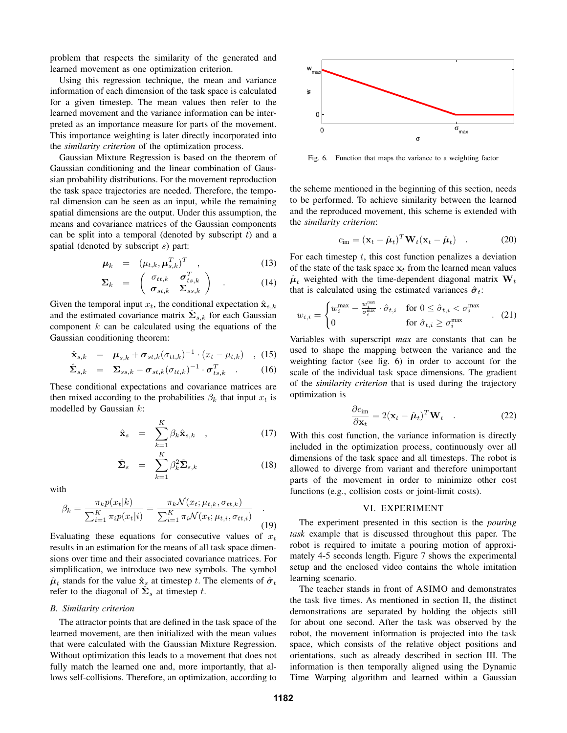problem that respects the similarity of the generated and learned movement as one optimization criterion.

Using this regression technique, the mean and variance information of each dimension of the task space is calculated for a given timestep. The mean values then refer to the learned movement and the variance information can be interpreted as an importance measure for parts of the movement. This importance weighting is later directly incorporated into the *similarity criterion* of the optimization process.

Gaussian Mixture Regression is based on the theorem of Gaussian conditioning and the linear combination of Gaussian probability distributions. For the movement reproduction the task space trajectories are needed. Therefore, the temporal dimension can be seen as an input, while the remaining spatial dimensions are the output. Under this assumption, the means and covariance matrices of the Gaussian components can be split into a temporal (denoted by subscript  $t$ ) and a spatial (denoted by subscript s) part:

$$
\boldsymbol{\mu}_k = (\mu_{t,k}, \boldsymbol{\mu}_{s,k}^T)^T , \qquad (13)
$$

$$
\Sigma_k = \begin{pmatrix} \sigma_{tt,k} & \sigma_{ts,k}^T \\ \sigma_{st,k} & \Sigma_{ss,k} \end{pmatrix} . \qquad (14)
$$

Given the temporal input  $x_t$ , the conditional expectation  $\hat{\mathbf{x}}_{s,k}$ and the estimated covariance matrix  $\hat{\Sigma}_{s,k}$  for each Gaussian component  $k$  can be calculated using the equations of the Gaussian conditioning theorem:

$$
\hat{\mathbf{x}}_{s,k} = \boldsymbol{\mu}_{s,k} + \boldsymbol{\sigma}_{st,k} (\sigma_{tt,k})^{-1} \cdot (x_t - \mu_{t,k}) \quad , \tag{15}
$$

$$
\hat{\mathbf{\Sigma}}_{s,k} = \mathbf{\Sigma}_{ss,k} - \boldsymbol{\sigma}_{st,k} (\sigma_{tt,k})^{-1} \cdot \boldsymbol{\sigma}_{ts,k}^T \quad . \tag{16}
$$

These conditional expectations and covariance matrices are then mixed according to the probabilities  $\beta_k$  that input  $x_t$  is modelled by Gaussian k:

$$
\hat{\mathbf{x}}_s = \sum_{k=1}^K \beta_k \hat{\mathbf{x}}_{s,k} \quad , \tag{17}
$$

$$
\hat{\mathbf{\Sigma}}_s = \sum_{k=1}^K \beta_k^2 \hat{\mathbf{\Sigma}}_{s,k}
$$
 (18)

with

$$
\beta_k = \frac{\pi_k p(x_t|k)}{\sum_{i=1}^K \pi_i p(x_t|i)} = \frac{\pi_k \mathcal{N}(x_t; \mu_{t,k}, \sigma_{tt,k})}{\sum_{i=1}^K \pi_i \mathcal{N}(x_t; \mu_{t,i}, \sigma_{tt,i})} \quad .
$$
\n(19)

Evaluating these equations for consecutive values of  $x_t$ results in an estimation for the means of all task space dimensions over time and their associated covariance matrices. For simplification, we introduce two new symbols. The symbol  $\hat{\boldsymbol{\mu}}_t$  stands for the value  $\hat{\mathbf{x}}_s$  at timestep t. The elements of  $\hat{\boldsymbol{\sigma}}_t$ refer to the diagonal of  $\hat{\Sigma}_s$  at timestep t.

#### *B. Similarity criterion*

The attractor points that are defined in the task space of the learned movement, are then initialized with the mean values that were calculated with the Gaussian Mixture Regression. Without optimization this leads to a movement that does not fully match the learned one and, more importantly, that allows self-collisions. Therefore, an optimization, according to



Fig. 6. Function that maps the variance to a weighting factor

the scheme mentioned in the beginning of this section, needs to be performed. To achieve similarity between the learned and the reproduced movement, this scheme is extended with the *similarity criterion*:

$$
c_{\text{im}} = (\mathbf{x}_t - \hat{\boldsymbol{\mu}}_t)^T \mathbf{W}_t (\mathbf{x}_t - \hat{\boldsymbol{\mu}}_t) \quad . \tag{20}
$$

For each timestep  $t$ , this cost function penalizes a deviation of the state of the task space  $x_t$  from the learned mean values  $\hat{\mu}_t$  weighted with the time-dependent diagonal matrix  $\mathbf{W}_t$ that is calculated using the estimated variances  $\hat{\sigma}_t$ :

$$
w_{i,i} = \begin{cases} w_i^{\max} - \frac{w_i^{\max}}{\sigma_i^{\max}} \cdot \hat{\sigma}_{t,i} & \text{for } 0 \le \hat{\sigma}_{t,i} < \sigma_i^{\max} \\ 0 & \text{for } \hat{\sigma}_{t,i} \ge \sigma_i^{\max} \end{cases} (21)
$$

Variables with superscript *max* are constants that can be used to shape the mapping between the variance and the weighting factor (see fig. 6) in order to account for the scale of the individual task space dimensions. The gradient of the *similarity criterion* that is used during the trajectory optimization is

$$
\frac{\partial c_{\text{im}}}{\partial \mathbf{x}_t} = 2(\mathbf{x}_t - \hat{\boldsymbol{\mu}}_t)^T \mathbf{W}_t \quad . \tag{22}
$$

With this cost function, the variance information is directly included in the optimization process, continuously over all dimensions of the task space and all timesteps. The robot is allowed to diverge from variant and therefore unimportant parts of the movement in order to minimize other cost functions (e.g., collision costs or joint-limit costs).

## VI. EXPERIMENT

The experiment presented in this section is the *pouring task* example that is discussed throughout this paper. The robot is required to imitate a pouring motion of approximately 4-5 seconds length. Figure 7 shows the experimental setup and the enclosed video contains the whole imitation learning scenario.

The teacher stands in front of ASIMO and demonstrates the task five times. As mentioned in section II, the distinct demonstrations are separated by holding the objects still for about one second. After the task was observed by the robot, the movement information is projected into the task space, which consists of the relative object positions and orientations, such as already described in section III. The information is then temporally aligned using the Dynamic Time Warping algorithm and learned within a Gaussian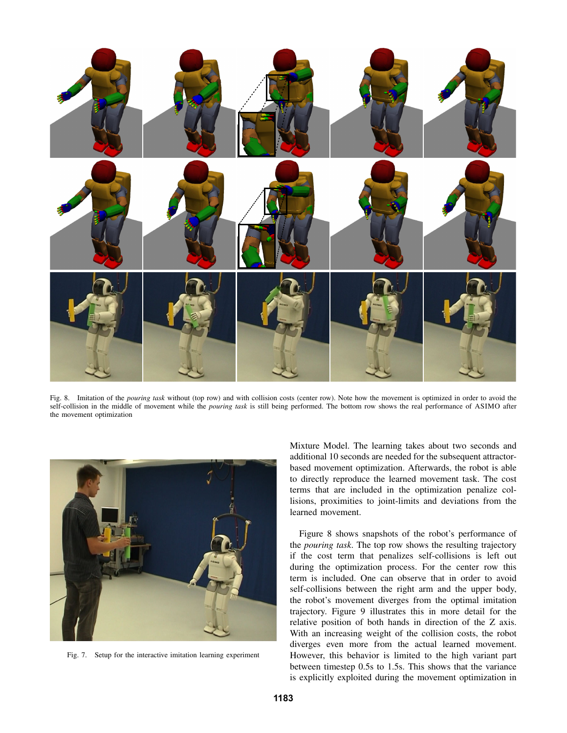

Fig. 8. Imitation of the *pouring task* without (top row) and with collision costs (center row). Note how the movement is optimized in order to avoid the self-collision in the middle of movement while the *pouring task* is still being performed. The bottom row shows the real performance of ASIMO after the movement optimization



Fig. 7. Setup for the interactive imitation learning experiment

Mixture Model. The learning takes about two seconds and additional 10 seconds are needed for the subsequent attractorbased movement optimization. Afterwards, the robot is able to directly reproduce the learned movement task. The cost terms that are included in the optimization penalize collisions, proximities to joint-limits and deviations from the learned movement.

Figure 8 shows snapshots of the robot's performance of the *pouring task*. The top row shows the resulting trajectory if the cost term that penalizes self-collisions is left out during the optimization process. For the center row this term is included. One can observe that in order to avoid self-collisions between the right arm and the upper body, the robot's movement diverges from the optimal imitation trajectory. Figure 9 illustrates this in more detail for the relative position of both hands in direction of the Z axis. With an increasing weight of the collision costs, the robot diverges even more from the actual learned movement. However, this behavior is limited to the high variant part between timestep 0.5s to 1.5s. This shows that the variance is explicitly exploited during the movement optimization in